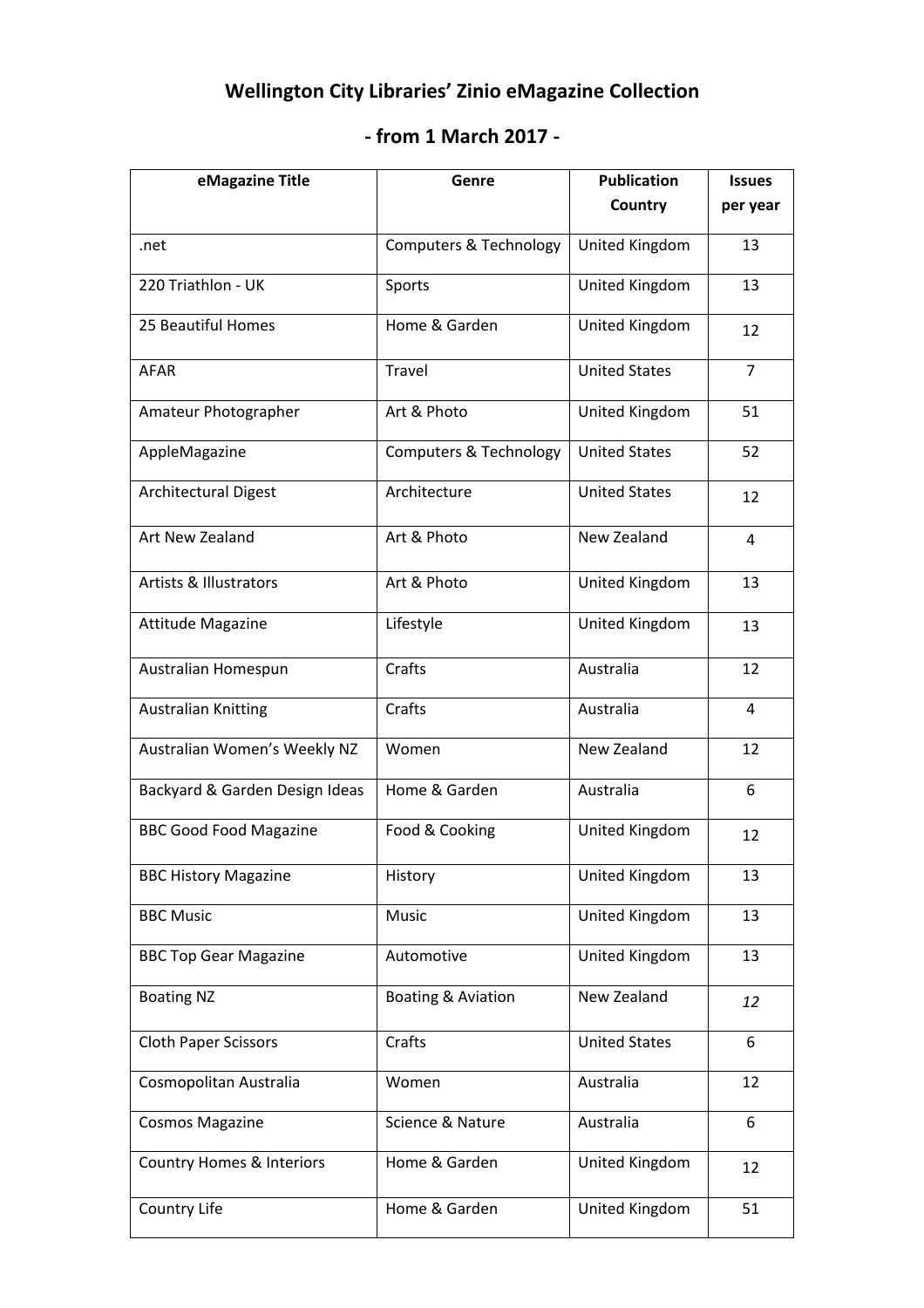## **Wellington City Libraries' Zinio eMagazine Collection**

## **‐ from 1 March 2017 ‐**

| eMagazine Title                      | Genre                             | <b>Publication</b>    | <b>Issues</b>  |
|--------------------------------------|-----------------------------------|-----------------------|----------------|
|                                      |                                   | Country               | per year       |
| .net                                 | <b>Computers &amp; Technology</b> | United Kingdom        | 13             |
| 220 Triathlon - UK                   | Sports                            | United Kingdom        | 13             |
| 25 Beautiful Homes                   | Home & Garden                     | United Kingdom        | 12             |
| <b>AFAR</b>                          | Travel                            | <b>United States</b>  | $\overline{7}$ |
| Amateur Photographer                 | Art & Photo                       | United Kingdom        | 51             |
| AppleMagazine                        | <b>Computers &amp; Technology</b> | <b>United States</b>  | 52             |
| <b>Architectural Digest</b>          | Architecture                      | <b>United States</b>  | 12             |
| Art New Zealand                      | Art & Photo                       | New Zealand           | 4              |
| <b>Artists &amp; Illustrators</b>    | Art & Photo                       | United Kingdom        | 13             |
| <b>Attitude Magazine</b>             | Lifestyle                         | United Kingdom        | 13             |
| Australian Homespun                  | Crafts                            | Australia             | 12             |
| <b>Australian Knitting</b>           | Crafts                            | Australia             | 4              |
| Australian Women's Weekly NZ         | Women                             | New Zealand           | 12             |
| Backyard & Garden Design Ideas       | Home & Garden                     | Australia             | 6              |
| <b>BBC Good Food Magazine</b>        | Food & Cooking                    | United Kingdom        | 12             |
| <b>BBC History Magazine</b>          | History                           | <b>United Kingdom</b> | 13             |
| <b>BBC Music</b>                     | Music                             | United Kingdom        | 13             |
| <b>BBC Top Gear Magazine</b>         | Automotive                        | United Kingdom        | 13             |
| <b>Boating NZ</b>                    | Boating & Aviation                | New Zealand           | 12             |
| <b>Cloth Paper Scissors</b>          | Crafts                            | <b>United States</b>  | 6              |
| Cosmopolitan Australia               | Women                             | Australia             | 12             |
| <b>Cosmos Magazine</b>               | Science & Nature                  | Australia             | 6              |
| <b>Country Homes &amp; Interiors</b> | Home & Garden                     | United Kingdom        | 12             |
| Country Life                         | Home & Garden                     | United Kingdom        | 51             |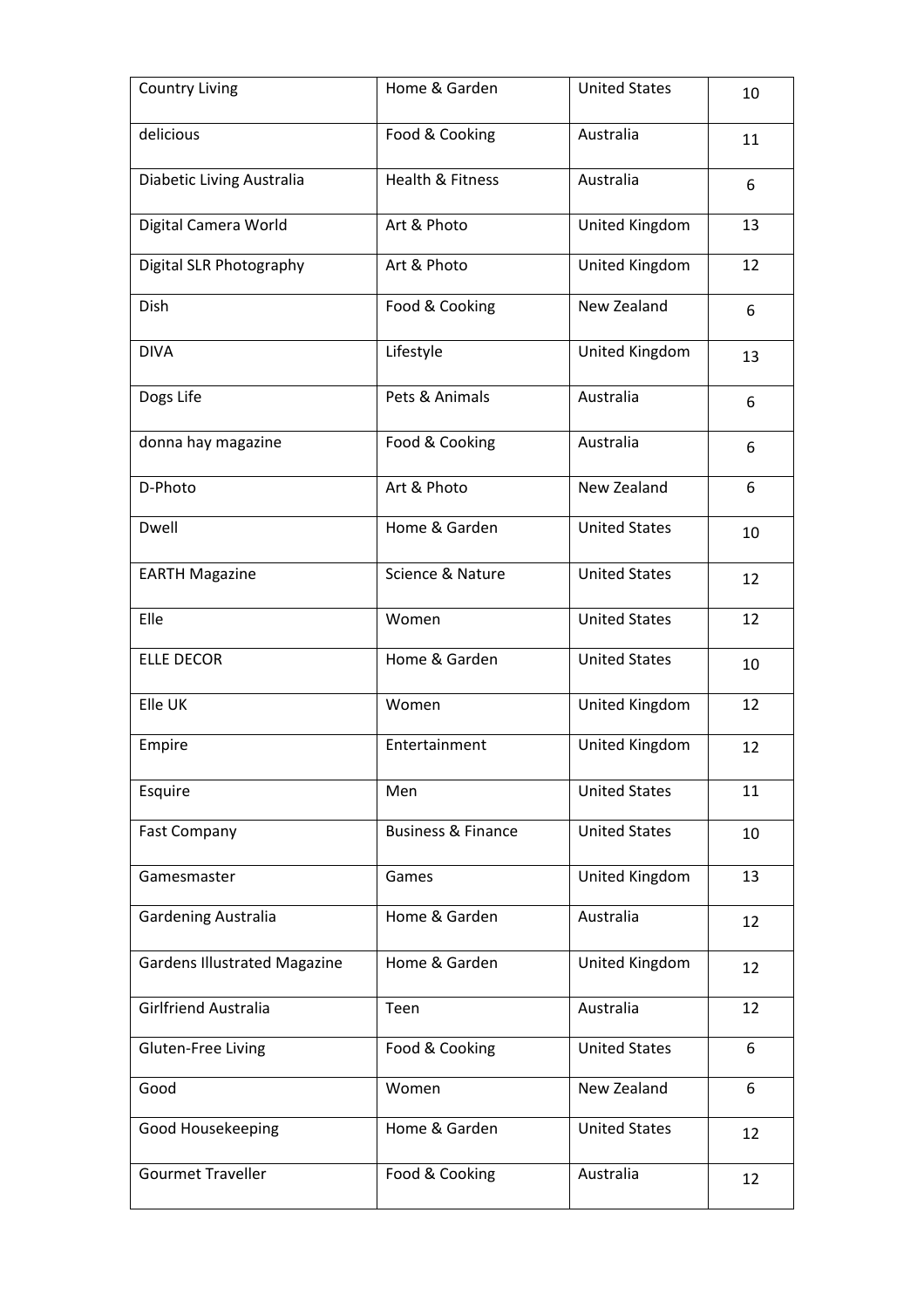| <b>Country Living</b>               | Home & Garden                 | <b>United States</b> | 10 |
|-------------------------------------|-------------------------------|----------------------|----|
| delicious                           | Food & Cooking                | Australia            | 11 |
| Diabetic Living Australia           | Health & Fitness              | Australia            | 6  |
| Digital Camera World                | Art & Photo                   | United Kingdom       | 13 |
| Digital SLR Photography             | Art & Photo                   | United Kingdom       | 12 |
| Dish                                | Food & Cooking                | New Zealand          | 6  |
| <b>DIVA</b>                         | Lifestyle                     | United Kingdom       | 13 |
| Dogs Life                           | Pets & Animals                | Australia            | 6  |
| donna hay magazine                  | Food & Cooking                | Australia            | 6  |
| D-Photo                             | Art & Photo                   | New Zealand          | 6  |
| Dwell                               | Home & Garden                 | <b>United States</b> | 10 |
| <b>EARTH Magazine</b>               | Science & Nature              | <b>United States</b> | 12 |
| Elle                                | Women                         | <b>United States</b> | 12 |
| <b>ELLE DECOR</b>                   | Home & Garden                 | <b>United States</b> | 10 |
| Elle UK                             | Women                         | United Kingdom       | 12 |
| Empire                              | Entertainment                 | United Kingdom       | 12 |
| Esquire                             | Men                           | <b>United States</b> | 11 |
| <b>Fast Company</b>                 | <b>Business &amp; Finance</b> | <b>United States</b> | 10 |
| Gamesmaster                         | Games                         | United Kingdom       | 13 |
| <b>Gardening Australia</b>          | Home & Garden                 | Australia            | 12 |
| <b>Gardens Illustrated Magazine</b> | Home & Garden                 | United Kingdom       | 12 |
| Girlfriend Australia                | Teen                          | Australia            | 12 |
| Gluten-Free Living                  | Food & Cooking                | <b>United States</b> | 6  |
| Good                                | Women                         | New Zealand          | 6  |
| Good Housekeeping                   | Home & Garden                 | <b>United States</b> | 12 |
| <b>Gourmet Traveller</b>            | Food & Cooking                | Australia            | 12 |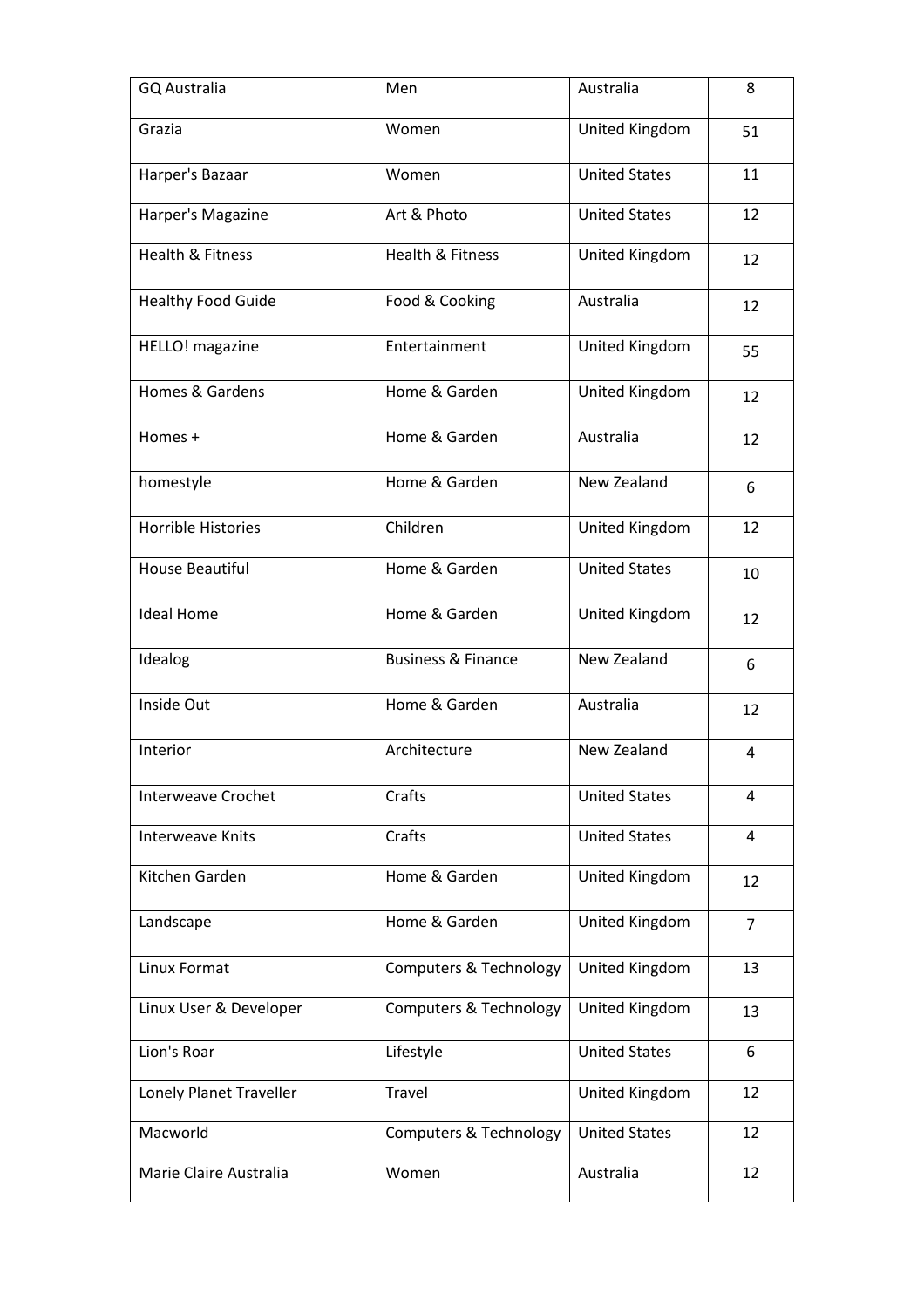| <b>GQ Australia</b>         | Men                               | Australia            | 8              |
|-----------------------------|-----------------------------------|----------------------|----------------|
| Grazia                      | Women                             | United Kingdom       | 51             |
| Harper's Bazaar             | Women                             | <b>United States</b> | 11             |
| Harper's Magazine           | Art & Photo                       | <b>United States</b> | 12             |
| <b>Health &amp; Fitness</b> | Health & Fitness                  | United Kingdom       | 12             |
| <b>Healthy Food Guide</b>   | Food & Cooking                    | Australia            | 12             |
| HELLO! magazine             | Entertainment                     | United Kingdom       | 55             |
| <b>Homes &amp; Gardens</b>  | Home & Garden                     | United Kingdom       | 12             |
| Homes +                     | Home & Garden                     | Australia            | 12             |
| homestyle                   | Home & Garden                     | New Zealand          | 6              |
| <b>Horrible Histories</b>   | Children                          | United Kingdom       | 12             |
| <b>House Beautiful</b>      | Home & Garden                     | <b>United States</b> | 10             |
| <b>Ideal Home</b>           | Home & Garden                     | United Kingdom       | 12             |
| Idealog                     | <b>Business &amp; Finance</b>     | New Zealand          | 6              |
| Inside Out                  | Home & Garden                     | Australia            | 12             |
| Interior                    | Architecture                      | New Zealand          | $\overline{4}$ |
| <b>Interweave Crochet</b>   | Crafts                            | <b>United States</b> | 4              |
| <b>Interweave Knits</b>     | Crafts                            | <b>United States</b> | 4              |
| Kitchen Garden              | Home & Garden                     | United Kingdom       | 12             |
| Landscape                   | Home & Garden                     | United Kingdom       | $\overline{7}$ |
| Linux Format                | <b>Computers &amp; Technology</b> | United Kingdom       | 13             |
| Linux User & Developer      | <b>Computers &amp; Technology</b> | United Kingdom       | 13             |
| Lion's Roar                 | Lifestyle                         | <b>United States</b> | 6              |
| Lonely Planet Traveller     | Travel                            | United Kingdom       | 12             |
| Macworld                    | <b>Computers &amp; Technology</b> | <b>United States</b> | 12             |
| Marie Claire Australia      | Women                             | Australia            | 12             |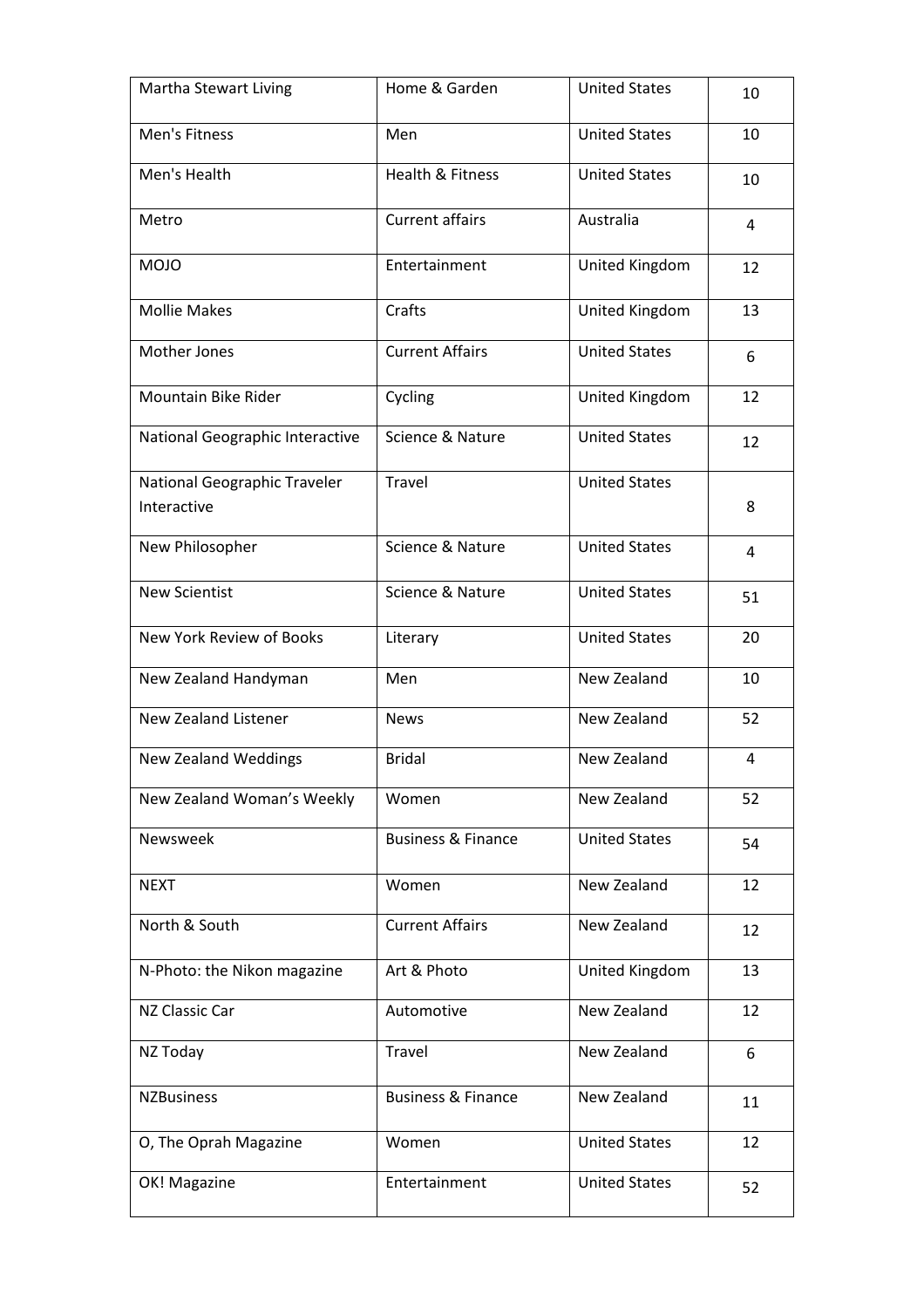| Martha Stewart Living                       | Home & Garden                 | <b>United States</b> | 10             |
|---------------------------------------------|-------------------------------|----------------------|----------------|
| Men's Fitness                               | Men                           | <b>United States</b> | 10             |
| Men's Health                                | <b>Health &amp; Fitness</b>   | <b>United States</b> | 10             |
| Metro                                       | <b>Current affairs</b>        | Australia            | $\overline{4}$ |
| <b>MOJO</b>                                 | Entertainment                 | United Kingdom       | 12             |
| <b>Mollie Makes</b>                         | Crafts                        | United Kingdom       | 13             |
| Mother Jones                                | <b>Current Affairs</b>        | <b>United States</b> | 6              |
| Mountain Bike Rider                         | Cycling                       | United Kingdom       | 12             |
| National Geographic Interactive             | Science & Nature              | <b>United States</b> | 12             |
| National Geographic Traveler<br>Interactive | Travel                        | <b>United States</b> | 8              |
| New Philosopher                             | Science & Nature              | <b>United States</b> | 4              |
| <b>New Scientist</b>                        | Science & Nature              | <b>United States</b> | 51             |
| New York Review of Books                    | Literary                      | <b>United States</b> | 20             |
| New Zealand Handyman                        | Men                           | New Zealand          | 10             |
| New Zealand Listener                        | <b>News</b>                   | New Zealand          | 52             |
| <b>New Zealand Weddings</b>                 | <b>Bridal</b>                 | New Zealand          | 4              |
| New Zealand Woman's Weekly                  | Women                         | New Zealand          | 52             |
| Newsweek                                    | <b>Business &amp; Finance</b> | <b>United States</b> | 54             |
| <b>NEXT</b>                                 | Women                         | New Zealand          | 12             |
| North & South                               | <b>Current Affairs</b>        | New Zealand          | 12             |
| N-Photo: the Nikon magazine                 | Art & Photo                   | United Kingdom       | 13             |
| NZ Classic Car                              | Automotive                    | New Zealand          | 12             |
| NZ Today                                    | Travel                        | New Zealand          | 6              |
| <b>NZBusiness</b>                           | <b>Business &amp; Finance</b> | New Zealand          | 11             |
| O, The Oprah Magazine                       | Women                         | <b>United States</b> | 12             |
| OK! Magazine                                | Entertainment                 | <b>United States</b> | 52             |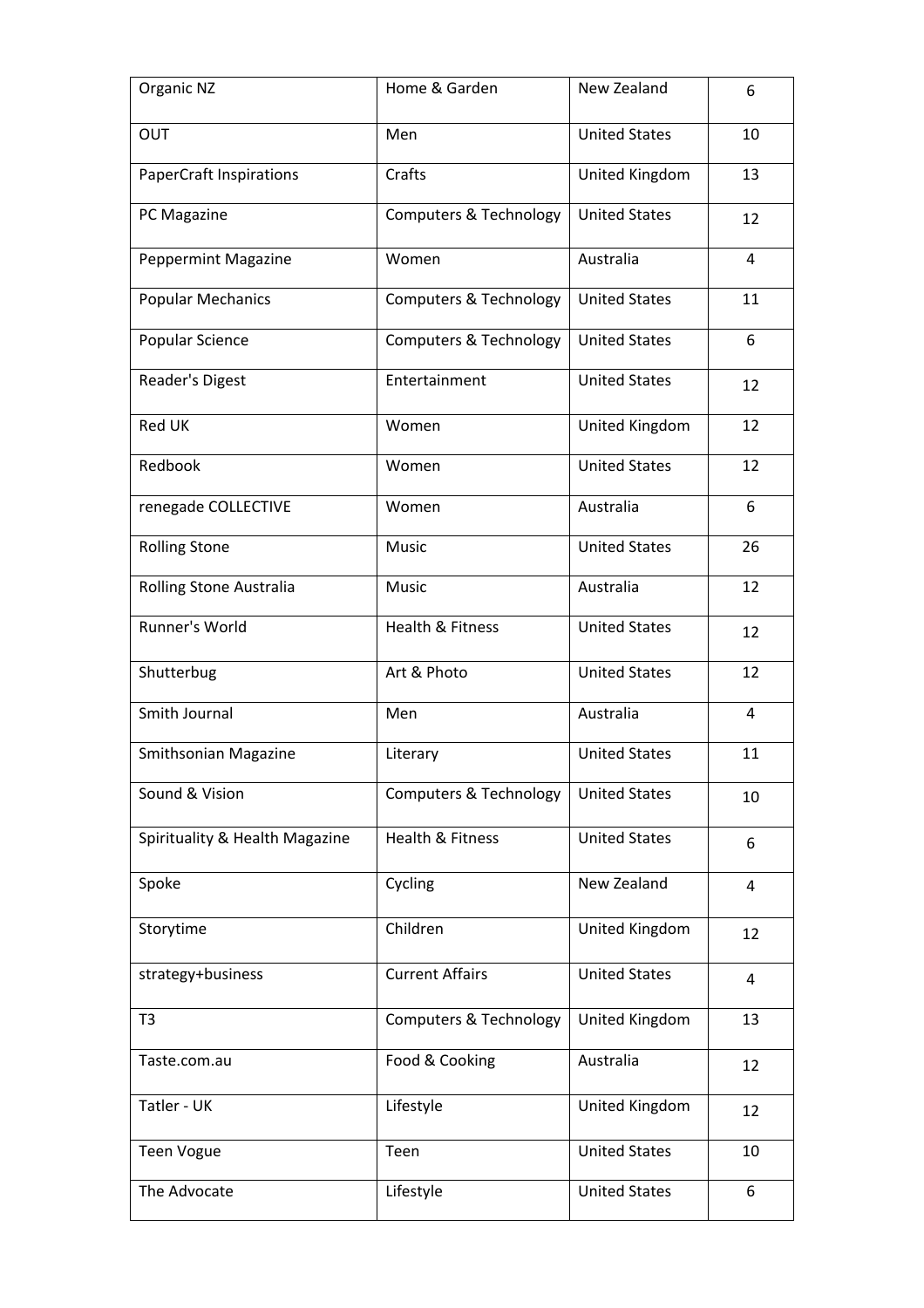| Organic NZ                     | Home & Garden                     | New Zealand          | 6              |
|--------------------------------|-----------------------------------|----------------------|----------------|
| <b>OUT</b>                     | Men                               | <b>United States</b> | 10             |
| <b>PaperCraft Inspirations</b> | Crafts                            | United Kingdom       | 13             |
| PC Magazine                    | <b>Computers &amp; Technology</b> | <b>United States</b> | 12             |
| <b>Peppermint Magazine</b>     | Women                             | Australia            | $\overline{4}$ |
| <b>Popular Mechanics</b>       | <b>Computers &amp; Technology</b> | <b>United States</b> | 11             |
| Popular Science                | <b>Computers &amp; Technology</b> | <b>United States</b> | 6              |
| Reader's Digest                | Entertainment                     | <b>United States</b> | 12             |
| Red UK                         | Women                             | United Kingdom       | 12             |
| Redbook                        | Women                             | <b>United States</b> | 12             |
| renegade COLLECTIVE            | Women                             | Australia            | 6              |
| <b>Rolling Stone</b>           | Music                             | <b>United States</b> | 26             |
| Rolling Stone Australia        | Music                             | Australia            | 12             |
| Runner's World                 | Health & Fitness                  | <b>United States</b> | 12             |
| Shutterbug                     | Art & Photo                       | <b>United States</b> | 12             |
| Smith Journal                  | Men                               | Australia            | $\overline{4}$ |
| Smithsonian Magazine           | Literary                          | <b>United States</b> | 11             |
| Sound & Vision                 | <b>Computers &amp; Technology</b> | <b>United States</b> | 10             |
| Spirituality & Health Magazine | Health & Fitness                  | <b>United States</b> | 6              |
| Spoke                          | Cycling                           | New Zealand          | $\overline{4}$ |
| Storytime                      | Children                          | United Kingdom       | 12             |
| strategy+business              | <b>Current Affairs</b>            | <b>United States</b> | $\overline{4}$ |
| T <sub>3</sub>                 | <b>Computers &amp; Technology</b> | United Kingdom       | 13             |
| Taste.com.au                   | Food & Cooking                    | Australia            | 12             |
| Tatler - UK                    | Lifestyle                         | United Kingdom       | 12             |
| <b>Teen Vogue</b>              | Teen                              | <b>United States</b> | 10             |
| The Advocate                   | Lifestyle                         | <b>United States</b> | 6              |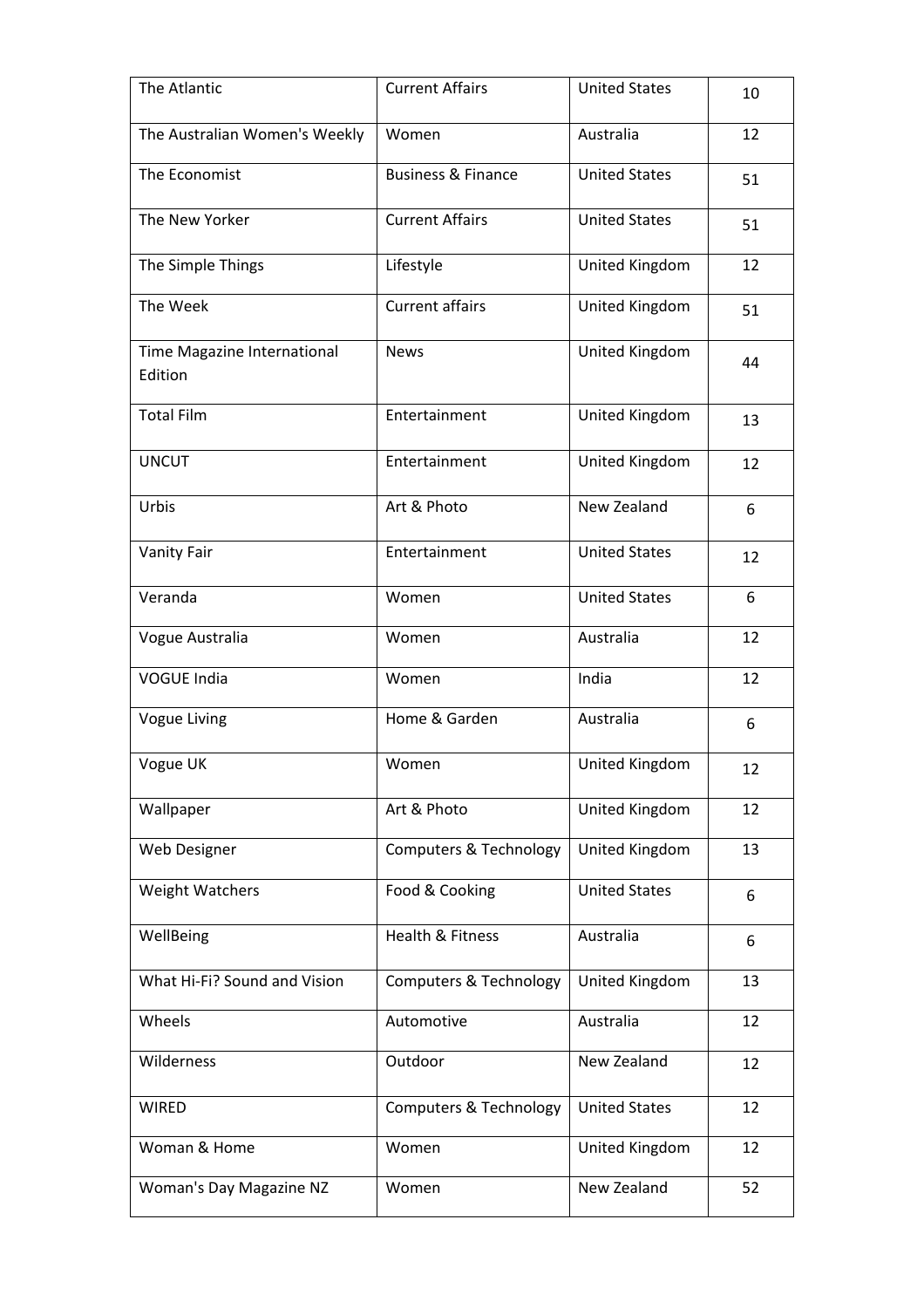| The Atlantic                           | <b>Current Affairs</b>        | <b>United States</b> | 10 |
|----------------------------------------|-------------------------------|----------------------|----|
| The Australian Women's Weekly          | Women                         | Australia            | 12 |
| The Economist                          | <b>Business &amp; Finance</b> | <b>United States</b> | 51 |
| The New Yorker                         | <b>Current Affairs</b>        | <b>United States</b> | 51 |
| The Simple Things                      | Lifestyle                     | United Kingdom       | 12 |
| The Week                               | <b>Current affairs</b>        | United Kingdom       | 51 |
| Time Magazine International<br>Edition | <b>News</b>                   | United Kingdom       | 44 |
| <b>Total Film</b>                      | Entertainment                 | United Kingdom       | 13 |
| <b>UNCUT</b>                           | Entertainment                 | United Kingdom       | 12 |
| Urbis                                  | Art & Photo                   | New Zealand          | 6  |
| Vanity Fair                            | Entertainment                 | <b>United States</b> | 12 |
| Veranda                                | Women                         | <b>United States</b> | 6  |
| Vogue Australia                        | Women                         | Australia            | 12 |
| <b>VOGUE India</b>                     | Women                         | India                | 12 |
| <b>Vogue Living</b>                    | Home & Garden                 | Australia            | 6  |
| Vogue UK                               | Women                         | United Kingdom       | 12 |
| Wallpaper                              | Art & Photo                   | United Kingdom       | 12 |
| Web Designer                           | Computers & Technology        | United Kingdom       | 13 |
| <b>Weight Watchers</b>                 | Food & Cooking                | <b>United States</b> | 6  |
| WellBeing                              | Health & Fitness              | Australia            | 6  |
| What Hi-Fi? Sound and Vision           | Computers & Technology        | United Kingdom       | 13 |
| Wheels                                 | Automotive                    | Australia            | 12 |
| Wilderness                             | Outdoor                       | New Zealand          | 12 |
| <b>WIRED</b>                           | Computers & Technology        | <b>United States</b> | 12 |
| Woman & Home                           | Women                         | United Kingdom       | 12 |
| Woman's Day Magazine NZ                | Women                         | New Zealand          | 52 |